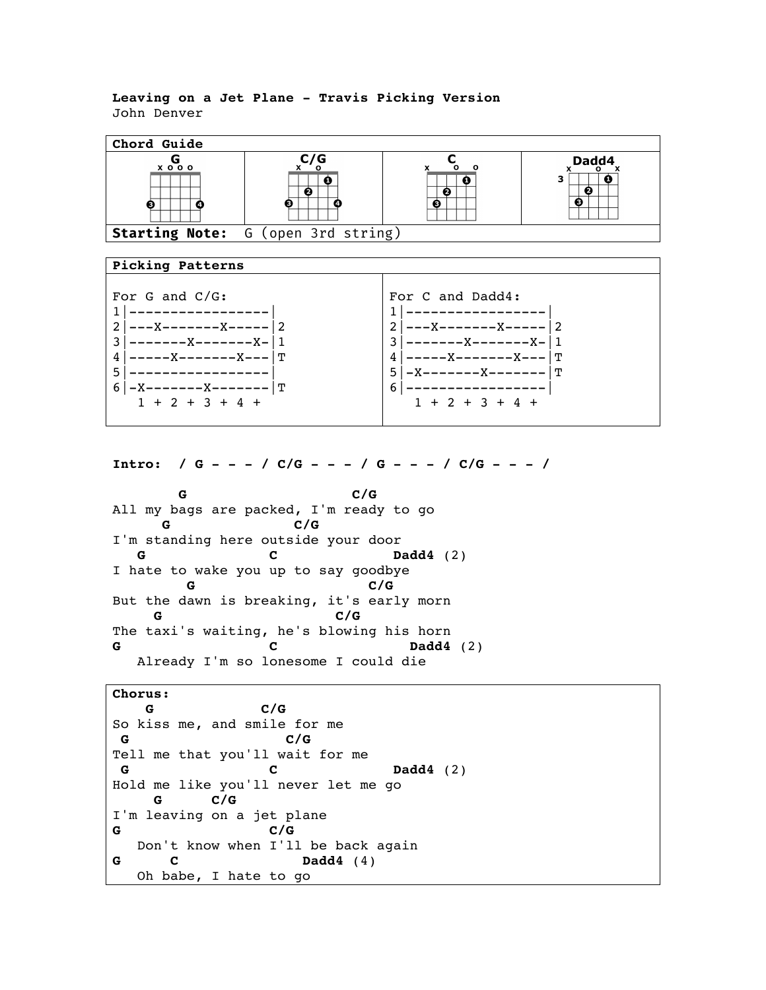## **Leaving on a Jet Plane - Travis Picking Version** John Denver



**Intro: / G - - - / C/G - - - / G - - - / C/G - - - /**

**G** C/G All my bags are packed, I'm ready to go  **G C/G** I'm standing here outside your door **G** C Dadd4 (2) I hate to wake you up to say goodbye  **G C/G** But the dawn is breaking, it's early morn  **G C/G** The taxi's waiting, he's blowing his horn **G C Dadd4** (2) Already I'm so lonesome I could die

**Chorus: G C/G** So kiss me, and smile for me **G C/G** Tell me that you'll wait for me **G C Dadd4** (2) Hold me like you'll never let me go  **G C/G** I'm leaving on a jet plane **G C/G** Don't know when I'll be back again **G C Dadd4** (4) Oh babe, I hate to go